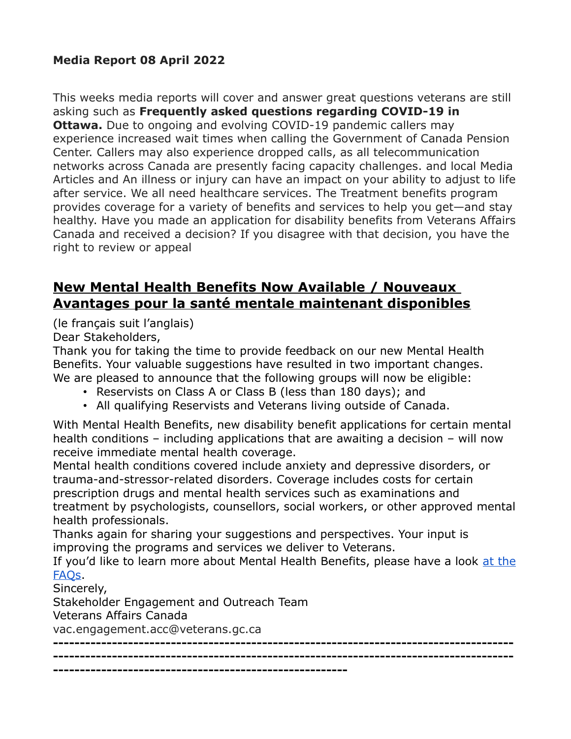#### **Media Report 08 April 2022**

This weeks media reports will cover and answer great questions veterans are still asking such as **Frequently asked questions regarding COVID-19 in Ottawa.** Due to ongoing and evolving COVID-19 pandemic callers may experience increased wait times when calling the Government of Canada Pension Center. Callers may also experience dropped calls, as all telecommunication networks across Canada are presently facing capacity challenges. and local Media Articles and An illness or injury can have an impact on your ability to adjust to life after service. We all need healthcare services. The Treatment benefits program provides coverage for a variety of benefits and services to help you get—and stay healthy. Have you made an application for disability benefits from Veterans Affairs Canada and received a decision? If you disagree with that decision, you have the right to review or appeal

### **New Mental Health Benefits Now Available / Nouveaux Avantages pour la santé mentale maintenant disponibles**

(le français suit l'anglais) Dear Stakeholders,

Thank you for taking the time to provide feedback on our new Mental Health Benefits. Your valuable suggestions have resulted in two important changes. We are pleased to announce that the following groups will now be eligible:

- Reservists on Class A or Class B (less than 180 days); and
- All qualifying Reservists and Veterans living outside of Canada.

With Mental Health Benefits, new disability benefit applications for certain mental health conditions – including applications that are awaiting a decision – will now receive immediate mental health coverage.

Mental health conditions covered include anxiety and depressive disorders, or trauma-and-stressor-related disorders. Coverage includes costs for certain prescription drugs and mental health services such as examinations and treatment by psychologists, counsellors, social workers, or other approved mental health professionals.

Thanks again for sharing your suggestions and perspectives. Your input is improving the programs and services we deliver to Veterans.

If you'd like to learn more about Mental Health Benefits, please have a look [at the](https://www.veterans.gc.ca/eng/financial-support/medical-costs/treatment-benefits/mental-health-benefits) [FAQs.](https://www.veterans.gc.ca/eng/financial-support/medical-costs/treatment-benefits/mental-health-benefits)

Sincerely,

Stakeholder Engagement and Outreach Team

**-------------------------------------------------------**

Veterans Affairs Canada

vac.engagement.acc@veterans.gc.ca

**-------------------------------------------------------------------------------------- --------------------------------------------------------------------------------------**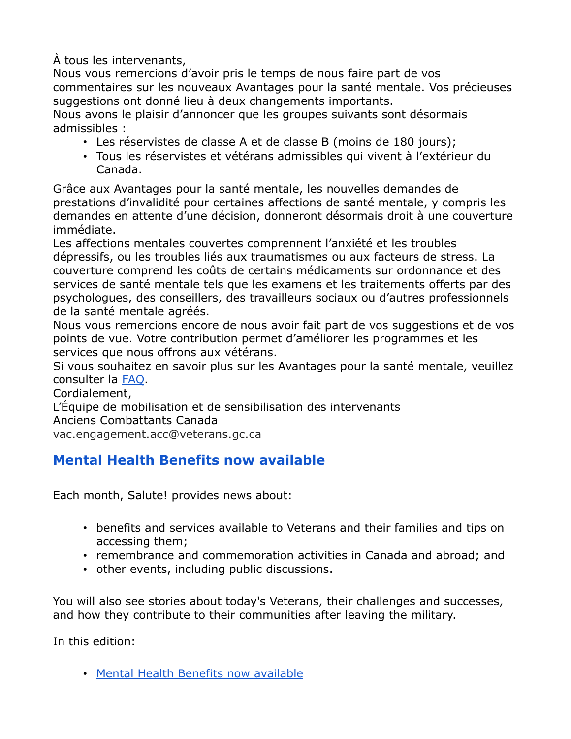À tous les intervenants,

Nous vous remercions d'avoir pris le temps de nous faire part de vos commentaires sur les nouveaux Avantages pour la santé mentale. Vos précieuses suggestions ont donné lieu à deux changements importants.

Nous avons le plaisir d'annoncer que les groupes suivants sont désormais admissibles :

- Les réservistes de classe A et de classe B (moins de 180 jours);
- Tous les réservistes et vétérans admissibles qui vivent à l'extérieur du Canada.

Grâce aux Avantages pour la santé mentale, les nouvelles demandes de prestations d'invalidité pour certaines affections de santé mentale, y compris les demandes en attente d'une décision, donneront désormais droit à une couverture immédiate.

Les affections mentales couvertes comprennent l'anxiété et les troubles dépressifs, ou les troubles liés aux traumatismes ou aux facteurs de stress. La couverture comprend les coûts de certains médicaments sur ordonnance et des services de santé mentale tels que les examens et les traitements offerts par des psychologues, des conseillers, des travailleurs sociaux ou d'autres professionnels de la santé mentale agréés.

Nous vous remercions encore de nous avoir fait part de vos suggestions et de vos points de vue. Votre contribution permet d'améliorer les programmes et les services que nous offrons aux vétérans.

Si vous souhaitez en savoir plus sur les Avantages pour la santé mentale, veuillez consulter la [FAQ.](https://www.veterans.gc.ca/fra/financial-support/medical-costs/treatment-benefits/mental-health-benefits)

Cordialement,

L'Équipe de mobilisation et de sensibilisation des intervenants Anciens Combattants Canada

vac.engagement.acc@veterans.gc.ca

### **[Mental Health Benefits now available](https://www.veterans.gc.ca/eng/about-vac/news-media/salute/2022-04?utm_source=MVA&utm_medium=Salute&utm_campaign=April22)**

Each month, Salute! provides news about:

- benefits and services available to Veterans and their families and tips on accessing them;
- remembrance and commemoration activities in Canada and abroad; and
- other events, including public discussions.

You will also see stories about today's Veterans, their challenges and successes, and how they contribute to their communities after leaving the military.

In this edition:

• [Mental Health Benefits now available](https://www.veterans.gc.ca/eng/about-vac/news-media/salute/2022-04?utm_source=MVA&utm_medium=Salute&utm_campaign=April22&utm_term=salute#1)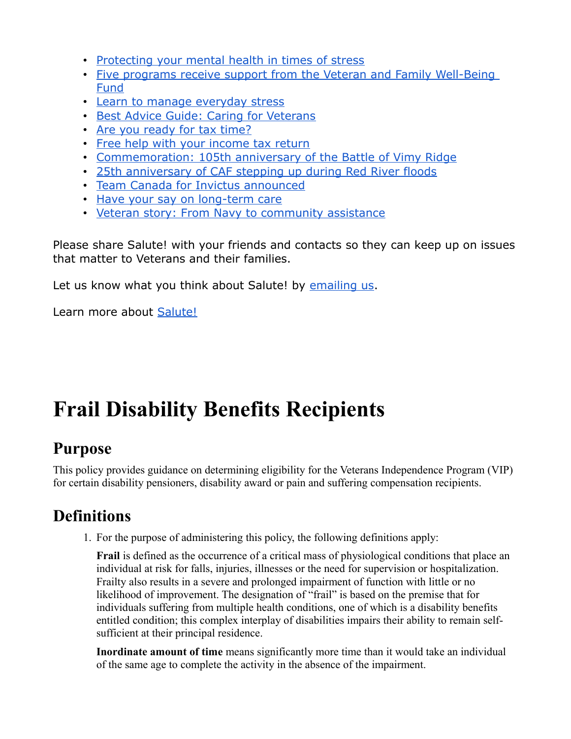- [Protecting your mental health in times of stress](https://www.veterans.gc.ca/eng/about-vac/news-media/salute/2022-04?utm_source=MVA&utm_medium=Salute&utm_campaign=April22&utm_term=salute#2)
- [Five programs receive support from the Veteran and Family Well-Being](https://www.veterans.gc.ca/eng/about-vac/news-media/salute/2022-04?utm_source=MVA&utm_medium=Salute&utm_campaign=April22&utm_term=salute#3)  [Fund](https://www.veterans.gc.ca/eng/about-vac/news-media/salute/2022-04?utm_source=MVA&utm_medium=Salute&utm_campaign=April22&utm_term=salute#3)
- [Learn to manage everyday stress](https://www.veterans.gc.ca/eng/about-vac/news-media/salute/2022-04?utm_source=MVA&utm_medium=Salute&utm_campaign=April22&utm_term=salute#4)
- [Best Advice Guide: Caring for Veterans](https://www.veterans.gc.ca/eng/about-vac/news-media/salute/2022-04?utm_source=MVA&utm_medium=Salute&utm_campaign=April22&utm_term=salute#5)
- [Are you ready for tax time?](https://www.veterans.gc.ca/eng/about-vac/news-media/salute/2022-04?utm_source=MVA&utm_medium=Salute&utm_campaign=April22&utm_term=salute#6)
- [Free help with your income tax return](https://www.veterans.gc.ca/eng/about-vac/news-media/salute/2022-04?utm_source=MVA&utm_medium=Salute&utm_campaign=April22&utm_term=salute#7)
- [Commemoration: 105th anniversary of the Battle of Vimy Ridge](https://www.veterans.gc.ca/eng/about-vac/news-media/salute/2022-04?utm_source=MVA&utm_medium=Salute&utm_campaign=April22&utm_term=salute#8)
- [25th anniversary of CAF stepping up during Red River floods](https://www.veterans.gc.ca/eng/about-vac/news-media/salute/2022-04?utm_source=MVA&utm_medium=Salute&utm_campaign=April22&utm_term=salute#9)
- [Team Canada for Invictus announced](https://www.veterans.gc.ca/eng/about-vac/news-media/salute/2022-04?utm_source=MVA&utm_medium=Salute&utm_campaign=April22&utm_term=salute#10)
- [Have your say on long-term care](https://www.veterans.gc.ca/eng/about-vac/news-media/salute/2022-04?utm_source=MVA&utm_medium=Salute&utm_campaign=April22&utm_term=salute#11)
- [Veteran story: From Navy to community assistance](https://www.veterans.gc.ca/eng/about-vac/news-media/salute/2022-04?utm_source=MVA&utm_medium=Salute&utm_campaign=April22&utm_term=salute#12)

Please share Salute! with your friends and contacts so they can keep up on issues that matter to Veterans and their families.

Let us know what you think about Salute! by [emailing us.](mailto:consultation@veterans.gc.ca)

Learn more about [Salute!](https://www.veterans.gc.ca/eng/about-vac/news-media/salute?utm_source=MVA&utm_medium=Salute&utm_campaign=April22)

# **Frail Disability Benefits Recipients**

## **Purpose**

This policy provides guidance on determining eligibility for the Veterans Independence Program (VIP) for certain disability pensioners, disability award or pain and suffering compensation recipients.

## **Definitions**

1. For the purpose of administering this policy, the following definitions apply:

**Frail** is defined as the occurrence of a critical mass of physiological conditions that place an individual at risk for falls, injuries, illnesses or the need for supervision or hospitalization. Frailty also results in a severe and prolonged impairment of function with little or no likelihood of improvement. The designation of "frail" is based on the premise that for individuals suffering from multiple health conditions, one of which is a disability benefits entitled condition; this complex interplay of disabilities impairs their ability to remain selfsufficient at their principal residence.

**Inordinate amount of time** means significantly more time than it would take an individual of the same age to complete the activity in the absence of the impairment.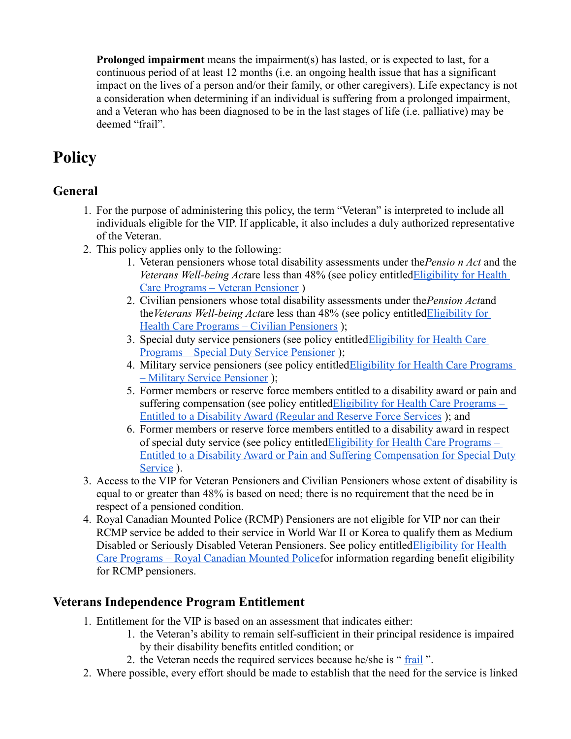**Prolonged impairment** means the impairment(s) has lasted, or is expected to last, for a continuous period of at least 12 months (i.e. an ongoing health issue that has a significant impact on the lives of a person and/or their family, or other caregivers). Life expectancy is not a consideration when determining if an individual is suffering from a prolonged impairment, and a Veteran who has been diagnosed to be in the last stages of life (i.e. palliative) may be deemed "frail".

## **Policy**

### **General**

- 1. For the purpose of administering this policy, the term "Veteran" is interpreted to include all individuals eligible for the VIP. If applicable, it also includes a duly authorized representative of the Veteran.
- 2. This policy applies only to the following:
	- 1. Veteran pensioners whose total disability assessments under the*Pensio n Act* and the *Veterans Well-being Act*are less than 48% (see policy entitle[dEligibility for Health](https://www.veterans.gc.ca/eng/about-vac/legislation-policies/policies/document/1226)  [Care Programs – Veteran Pensioner](https://www.veterans.gc.ca/eng/about-vac/legislation-policies/policies/document/1226) )
	- 2. Civilian pensioners whose total disability assessments under the*Pension Act*and the*Veterans Well-being Act*are less than 48% (see policy entitle[dEligibility for](https://www.veterans.gc.ca/eng/about-vac/legislation-policies/policies/document/1007)  [Health Care Programs – Civilian Pensioners](https://www.veterans.gc.ca/eng/about-vac/legislation-policies/policies/document/1007) );
	- 3. Special duty service pensioners (see policy entitle[dEligibility for Health Care](https://www.veterans.gc.ca/eng/about-vac/legislation-policies/policies/document/1037)  [Programs – Special Duty Service Pensioner](https://www.veterans.gc.ca/eng/about-vac/legislation-policies/policies/document/1037) );
	- 4. Military service pensioners (see policy entitle[dEligibility for Health Care Programs](https://www.veterans.gc.ca/eng/about-vac/legislation-policies/policies/document/1024)  [– Military Service Pensioner](https://www.veterans.gc.ca/eng/about-vac/legislation-policies/policies/document/1024) );
	- 5. Former members or reserve force members entitled to a disability award or pain and suffering compensation (see policy entitle[dEligibility for Health Care Programs –](https://www.veterans.gc.ca/eng/about-vac/legislation-policies/policies/document/1012)  [Entitled to a Disability Award \(Regular and Reserve Force Services](https://www.veterans.gc.ca/eng/about-vac/legislation-policies/policies/document/1012) ); and
	- 6. Former members or reserve force members entitled to a disability award in respect of special duty service (see policy entitle[dEligibility for Health Care Programs –](https://www.veterans.gc.ca/eng/about-vac/legislation-policies/policies/document/1013)  [Entitled to a Disability Award or Pain and Suffering Compensation for Special Duty](https://www.veterans.gc.ca/eng/about-vac/legislation-policies/policies/document/1013) [Service](https://www.veterans.gc.ca/eng/about-vac/legislation-policies/policies/document/1013) ).
- 3. Access to the VIP for Veteran Pensioners and Civilian Pensioners whose extent of disability is equal to or greater than 48% is based on need; there is no requirement that the need be in respect of a pensioned condition.
- 4. Royal Canadian Mounted Police (RCMP) Pensioners are not eligible for VIP nor can their RCMP service be added to their service in World War II or Korea to qualify them as Medium Disabled or Seriously Disabled Veteran Pensioners. See policy entitle[dEligibility for Health](https://www.veterans.gc.ca/eng/about-vac/legislation-policies/policies/document/2056)  [Care Programs – Royal Canadian Mounted Policef](https://www.veterans.gc.ca/eng/about-vac/legislation-policies/policies/document/2056)or information regarding benefit eligibility for RCMP pensioners.

#### **Veterans Independence Program Entitlement**

- 1. Entitlement for the VIP is based on an assessment that indicates either:
	- 1. the Veteran's ability to remain self-sufficient in their principal residence is impaired by their disability benefits entitled condition; or
	- 2. the Veteran needs the required services because he/she is " [frail](https://www.veterans.gc.ca/eng/about-vac/legislation-policies/policies/document/992#frailpension) ".
- 2. Where possible, every effort should be made to establish that the need for the service is linked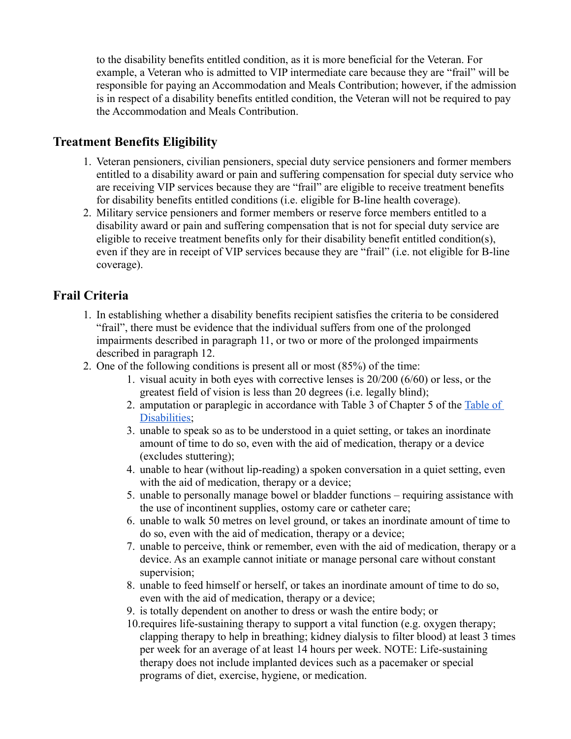to the disability benefits entitled condition, as it is more beneficial for the Veteran. For example, a Veteran who is admitted to VIP intermediate care because they are "frail" will be responsible for paying an Accommodation and Meals Contribution; however, if the admission is in respect of a disability benefits entitled condition, the Veteran will not be required to pay the Accommodation and Meals Contribution.

#### **Treatment Benefits Eligibility**

- 1. Veteran pensioners, civilian pensioners, special duty service pensioners and former members entitled to a disability award or pain and suffering compensation for special duty service who are receiving VIP services because they are "frail" are eligible to receive treatment benefits for disability benefits entitled conditions (i.e. eligible for B-line health coverage).
- 2. Military service pensioners and former members or reserve force members entitled to a disability award or pain and suffering compensation that is not for special duty service are eligible to receive treatment benefits only for their disability benefit entitled condition(s), even if they are in receipt of VIP services because they are "frail" (i.e. not eligible for B-line coverage).

#### **Frail Criteria**

- 1. In establishing whether a disability benefits recipient satisfies the criteria to be considered "frail", there must be evidence that the individual suffers from one of the prolonged impairments described in paragraph 11, or two or more of the prolonged impairments described in paragraph 12.
- 2. One of the following conditions is present all or most (85%) of the time:
	- 1. visual acuity in both eyes with corrective lenses is 20/200 (6/60) or less, or the greatest field of vision is less than 20 degrees (i.e. legally blind);
	- 2. amputation or paraplegic in accordance with Table 3 of Chapter 5 of the Table of Disabilities:
	- 3. unable to speak so as to be understood in a quiet setting, or takes an inordinate amount of time to do so, even with the aid of medication, therapy or a device (excludes stuttering);
	- 4. unable to hear (without lip-reading) a spoken conversation in a quiet setting, even with the aid of medication, therapy or a device;
	- 5. unable to personally manage bowel or bladder functions requiring assistance with the use of incontinent supplies, ostomy care or catheter care;
	- 6. unable to walk 50 metres on level ground, or takes an inordinate amount of time to do so, even with the aid of medication, therapy or a device;
	- 7. unable to perceive, think or remember, even with the aid of medication, therapy or a device. As an example cannot initiate or manage personal care without constant supervision;
	- 8. unable to feed himself or herself, or takes an inordinate amount of time to do so, even with the aid of medication, therapy or a device;
	- 9. is totally dependent on another to dress or wash the entire body; or
	- 10.requires life-sustaining therapy to support a vital function (e.g. oxygen therapy; clapping therapy to help in breathing; kidney dialysis to filter blood) at least 3 times per week for an average of at least 14 hours per week. NOTE: Life-sustaining therapy does not include implanted devices such as a pacemaker or special programs of diet, exercise, hygiene, or medication.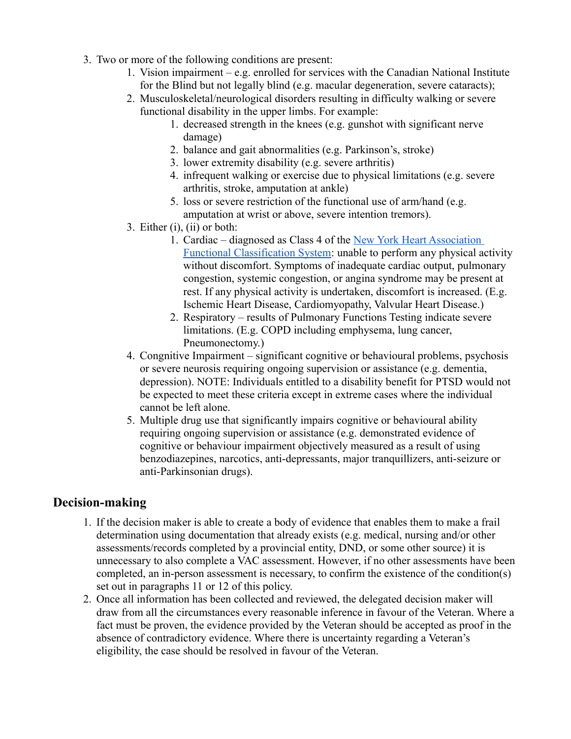- 3. Two or more of the following conditions are present:
	- 1. Vision impairment e.g. enrolled for services with the Canadian National Institute for the Blind but not legally blind (e.g. macular degeneration, severe cataracts);
	- 2. Musculoskeletal/neurological disorders resulting in difficulty walking or severe functional disability in the upper limbs. For example:
		- 1. decreased strength in the knees (e.g. gunshot with significant nerve damage)
		- 2. balance and gait abnormalities (e.g. Parkinson's, stroke)
		- 3. lower extremity disability (e.g. severe arthritis)
		- 4. infrequent walking or exercise due to physical limitations (e.g. severe arthritis, stroke, amputation at ankle)
		- 5. loss or severe restriction of the functional use of arm/hand (e.g. amputation at wrist or above, severe intention tremors).
	- 3. Either (i), (ii) or both:
		- 1. Cardiac diagnosed as Class 4 of the New York Heart Association [Functional Classification System:](http://www.heart.org/HEARTORG/Conditions/HeartFailure/AboutHeartFailure/Classes-of-Heart-Failure_UCM_306328_Article.jsp) unable to perform any physical activity without discomfort. Symptoms of inadequate cardiac output, pulmonary congestion, systemic congestion, or angina syndrome may be present at rest. If any physical activity is undertaken, discomfort is increased. (E.g. Ischemic Heart Disease, Cardiomyopathy, Valvular Heart Disease.)
		- 2. Respiratory results of Pulmonary Functions Testing indicate severe limitations. (E.g. COPD including emphysema, lung cancer, Pneumonectomy.)
	- 4. Congnitive Impairment significant cognitive or behavioural problems, psychosis or severe neurosis requiring ongoing supervision or assistance (e.g. dementia, depression). NOTE: Individuals entitled to a disability benefit for PTSD would not be expected to meet these criteria except in extreme cases where the individual cannot be left alone.
	- 5. Multiple drug use that significantly impairs cognitive or behavioural ability requiring ongoing supervision or assistance (e.g. demonstrated evidence of cognitive or behaviour impairment objectively measured as a result of using benzodiazepines, narcotics, anti-depressants, major tranquillizers, anti-seizure or anti-Parkinsonian drugs).

#### **Decision-making**

- 1. If the decision maker is able to create a body of evidence that enables them to make a frail determination using documentation that already exists (e.g. medical, nursing and/or other assessments/records completed by a provincial entity, DND, or some other source) it is unnecessary to also complete a VAC assessment. However, if no other assessments have been completed, an in-person assessment is necessary, to confirm the existence of the condition(s) set out in paragraphs 11 or 12 of this policy.
- 2. Once all information has been collected and reviewed, the delegated decision maker will draw from all the circumstances every reasonable inference in favour of the Veteran. Where a fact must be proven, the evidence provided by the Veteran should be accepted as proof in the absence of contradictory evidence. Where there is uncertainty regarding a Veteran's eligibility, the case should be resolved in favour of the Veteran.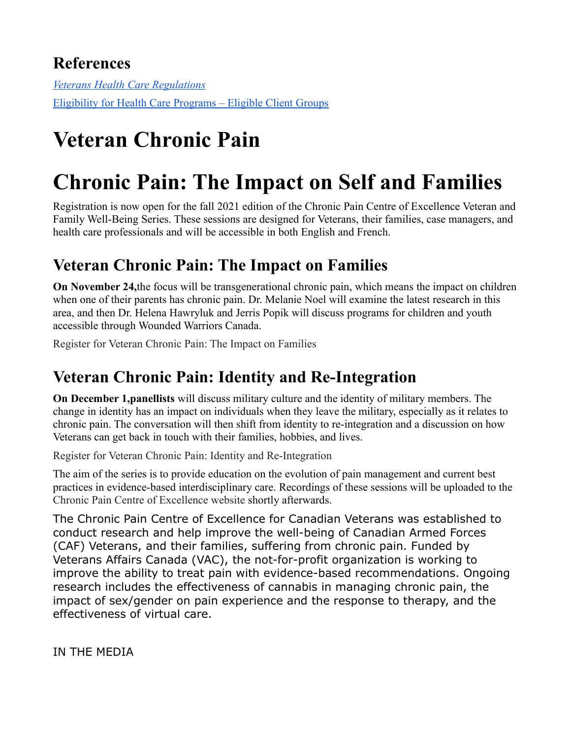## **References**

*[Veterans Health Care Regulations](http://laws-lois.justice.gc.ca/eng/regulations/SOR-90-594/index.html)* [Eligibility for Health Care Programs – Eligible Client Groups](https://www.veterans.gc.ca/eng/about-vac/legislation-policies/policies/document/1020)

# **Veteran Chronic Pain**

# **Chronic Pain: The Impact on Self and Families**

Registration is now open for the fall 2021 edition of the Chronic Pain Centre of Excellence Veteran and Family Well-Being Series. These sessions are designed for Veterans, their families, case managers, and health care professionals and will be accessible in both English and French.

## **Veteran Chronic Pain: The Impact on Families**

**On November 24,**the focus will be transgenerational chronic pain, which means the impact on children when one of their parents has chronic pain. Dr. Melanie Noel will examine the latest research in this area, and then Dr. Helena Hawryluk and Jerris Popik will discuss programs for children and youth accessible through Wounded Warriors Canada.

Register for Veteran Chronic Pain: The Impact on Families

## **Veteran Chronic Pain: Identity and Re-Integration**

**On December 1,panellists** will discuss military culture and the identity of military members. The change in identity has an impact on individuals when they leave the military, especially as it relates to chronic pain. The conversation will then shift from identity to re-integration and a discussion on how Veterans can get back in touch with their families, hobbies, and lives.

Register for Veteran Chronic Pain: Identity and Re-Integration

The aim of the series is to provide education on the evolution of pain management and current best practices in evidence-based interdisciplinary care. Recordings of these sessions will be uploaded to the Chronic Pain Centre of Excellence website shortly afterwards.

The Chronic Pain Centre of Excellence for Canadian Veterans was established to conduct research and help improve the well-being of Canadian Armed Forces (CAF) Veterans, and their families, suffering from chronic pain. Funded by Veterans Affairs Canada (VAC), the not-for-profit organization is working to improve the ability to treat pain with evidence-based recommendations. Ongoing research includes the effectiveness of cannabis in managing chronic pain, the impact of sex/gender on pain experience and the response to therapy, and the effectiveness of virtual care.

IN THE MEDIA